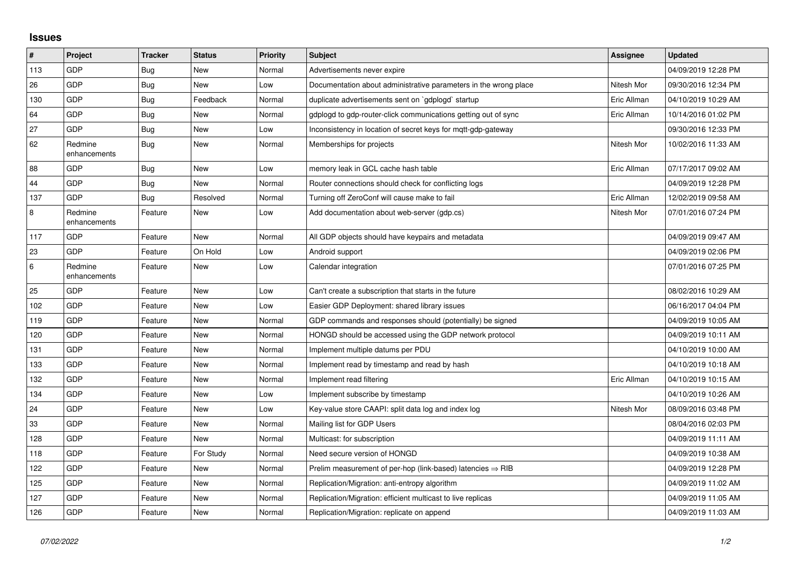## **Issues**

| $\sharp$ | <b>Project</b>          | <b>Tracker</b> | <b>Status</b> | <b>Priority</b> | <b>Subject</b>                                                         | Assignee    | <b>Updated</b>      |
|----------|-------------------------|----------------|---------------|-----------------|------------------------------------------------------------------------|-------------|---------------------|
| 113      | GDP                     | Bug            | <b>New</b>    | Normal          | Advertisements never expire                                            |             | 04/09/2019 12:28 PM |
| 26       | <b>GDP</b>              | Bug            | <b>New</b>    | Low             | Documentation about administrative parameters in the wrong place       | Nitesh Mor  | 09/30/2016 12:34 PM |
| 130      | GDP                     | Bug            | Feedback      | Normal          | duplicate advertisements sent on `gdplogd` startup                     | Eric Allman | 04/10/2019 10:29 AM |
| 64       | GDP                     | Bug            | <b>New</b>    | Normal          | gdplogd to gdp-router-click communications getting out of sync         | Eric Allman | 10/14/2016 01:02 PM |
| 27       | <b>GDP</b>              | Bug            | <b>New</b>    | Low             | Inconsistency in location of secret keys for mgtt-gdp-gateway          |             | 09/30/2016 12:33 PM |
| 62       | Redmine<br>enhancements | <b>Bug</b>     | <b>New</b>    | Normal          | Memberships for projects                                               | Nitesh Mor  | 10/02/2016 11:33 AM |
| 88       | <b>GDP</b>              | Bug            | <b>New</b>    | Low             | memory leak in GCL cache hash table                                    | Eric Allman | 07/17/2017 09:02 AM |
| 44       | GDP                     | Bug            | <b>New</b>    | Normal          | Router connections should check for conflicting logs                   |             | 04/09/2019 12:28 PM |
| 137      | <b>GDP</b>              | <b>Bug</b>     | Resolved      | Normal          | Turning off ZeroConf will cause make to fail                           | Eric Allman | 12/02/2019 09:58 AM |
| $\,8\,$  | Redmine<br>enhancements | Feature        | <b>New</b>    | Low             | Add documentation about web-server (gdp.cs)                            | Nitesh Mor  | 07/01/2016 07:24 PM |
| 117      | GDP                     | Feature        | New           | Normal          | All GDP objects should have keypairs and metadata                      |             | 04/09/2019 09:47 AM |
| 23       | <b>GDP</b>              | Feature        | On Hold       | Low             | Android support                                                        |             | 04/09/2019 02:06 PM |
| 6        | Redmine<br>enhancements | Feature        | <b>New</b>    | Low             | Calendar integration                                                   |             | 07/01/2016 07:25 PM |
| 25       | <b>GDP</b>              | Feature        | <b>New</b>    | Low             | Can't create a subscription that starts in the future                  |             | 08/02/2016 10:29 AM |
| 102      | GDP                     | Feature        | <b>New</b>    | Low             | Easier GDP Deployment: shared library issues                           |             | 06/16/2017 04:04 PM |
| 119      | <b>GDP</b>              | Feature        | <b>New</b>    | Normal          | GDP commands and responses should (potentially) be signed              |             | 04/09/2019 10:05 AM |
| 120      | GDP                     | Feature        | <b>New</b>    | Normal          | HONGD should be accessed using the GDP network protocol                |             | 04/09/2019 10:11 AM |
| 131      | GDP                     | Feature        | New           | Normal          | Implement multiple datums per PDU                                      |             | 04/10/2019 10:00 AM |
| 133      | GDP                     | Feature        | <b>New</b>    | Normal          | Implement read by timestamp and read by hash                           |             | 04/10/2019 10:18 AM |
| 132      | <b>GDP</b>              | Feature        | <b>New</b>    | Normal          | Implement read filtering                                               | Eric Allman | 04/10/2019 10:15 AM |
| 134      | GDP                     | Feature        | <b>New</b>    | Low             | Implement subscribe by timestamp                                       |             | 04/10/2019 10:26 AM |
| 24       | GDP                     | Feature        | <b>New</b>    | Low             | Key-value store CAAPI: split data log and index log                    | Nitesh Mor  | 08/09/2016 03:48 PM |
| 33       | <b>GDP</b>              | Feature        | <b>New</b>    | Normal          | Mailing list for GDP Users                                             |             | 08/04/2016 02:03 PM |
| 128      | <b>GDP</b>              | Feature        | New           | Normal          | Multicast: for subscription                                            |             | 04/09/2019 11:11 AM |
| 118      | GDP                     | Feature        | For Study     | Normal          | Need secure version of HONGD                                           |             | 04/09/2019 10:38 AM |
| 122      | GDP                     | Feature        | New           | Normal          | Prelim measurement of per-hop (link-based) latencies $\Rightarrow$ RIB |             | 04/09/2019 12:28 PM |
| 125      | <b>GDP</b>              | Feature        | New           | Normal          | Replication/Migration: anti-entropy algorithm                          |             | 04/09/2019 11:02 AM |
| 127      | GDP                     | Feature        | New           | Normal          | Replication/Migration: efficient multicast to live replicas            |             | 04/09/2019 11:05 AM |
| 126      | GDP                     | Feature        | <b>New</b>    | Normal          | Replication/Migration: replicate on append                             |             | 04/09/2019 11:03 AM |